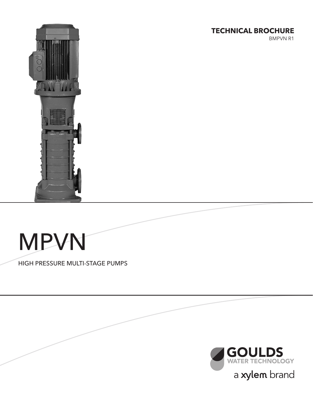# **TECHNICAL BROCHURE**

BMPVN R1



# MPVN

HIGH PRESSURE MULTI-STAGE PUMPS

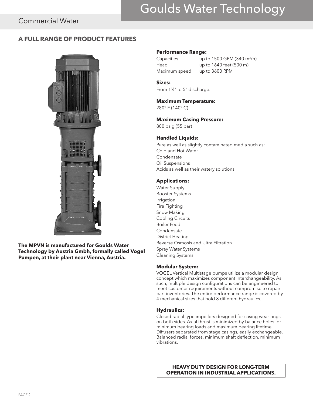# Goulds Water Technology

# Commercial Water

### **A FULL RANGE OF PRODUCT FEATURES**



**The MPVN is manufactured for Goulds Water Technology by Austria Gmbh, formally called Vogel Pumpen, at their plant near Vienna, Austria.**

#### **Performance Range:**

Capacities up to 1500 GPM (340 m<sup>3</sup>/h) Head up to 1640 feet (500 m) Maximum speed up to 3600 RPM

# **Sizes:**

From 11 ⁄2" to 5" discharge.

### **Maximum Temperature:**

280° F (140° C)

#### **Maximum Casing Pressure:**

800 psig (55 bar)

### **Handled Liquids:**

Pure as well as slightly contaminated media such as: Cold and Hot Water **Condensate** Oil Suspensions Acids as well as their watery solutions

### **Applications:**

Water Supply Booster Systems Irrigation Fire Fighting Snow Making Cooling Circuits Boiler Feed **Condensate** District Heating Reverse Osmosis and Ultra Filtration Spray Water Systems Cleaning Systems

#### **Modular System:**

VOGEL Vertical Multistage pumps utilize a modular design concept which maximizes component interchangeability. As such, multiple design configurations can be engineered to meet customer requirements without compromise to repair part inventories. The entire performance range is covered by 4 mechanical sizes that hold 8 different hydraulics.

#### **Hydraulics:**

Closed radial type impellers designed for casing wear rings on both sides. Axial thrust is minimized by balance holes for minimum bearing loads and maximum bearing lifetime. Diffusers separated from stage casings, easily exchangeable. Balanced radial forces, minimum shaft deflection, minimum vibrations.

**HEAVY DUTY DESIGN FOR LONG-TERM OPERATION IN INDUSTRIAL APPLICATIONS.**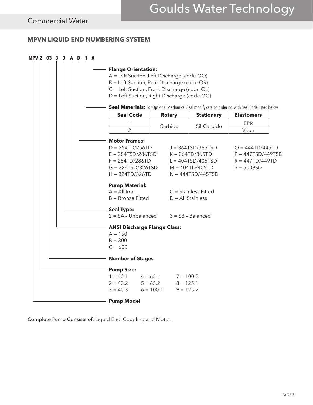# **MPVN LIQUID END NUMBERING SYSTEM**



Complete Pump Consists of: Liquid End, Coupling and Motor.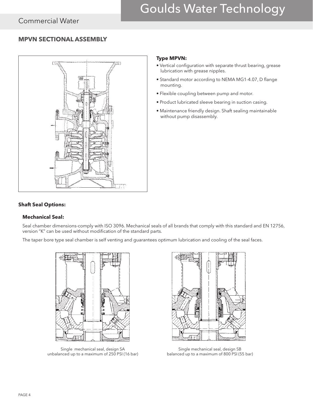# Commercial Water

# Goulds Water Technology

# **MPVN SECTIONAL ASSEMBLY**



### **Type MPVN:**

- Vertical configuration with separate thrust bearing, grease lubrication with grease nipples.
- Standard motor according to NEMA MG1-4.07, D flange mounting.
- Flexible coupling between pump and motor.
- Product lubricated sleeve bearing in suction casing.
- Maintenance friendly design. Shaft sealing maintainable without pump disassembly.

### **Shaft Seal Options:**

### **Mechanical Seal:**

Seal chamber dimensions-comply with ISO 3096. Mechanical seals of all brands that comply with this standard and EN 12756, version "K" can be used without modification of the standard parts.

The taper bore type seal chamber is self venting and guarantees optimum lubrication and cooling of the seal faces.



Single mechanical seal, design SA unbalanced up to a maximum of 250 PSI (16 bar)



Single mechanical seal, design SB balanced up to a maximum of 800 PSI (55 bar)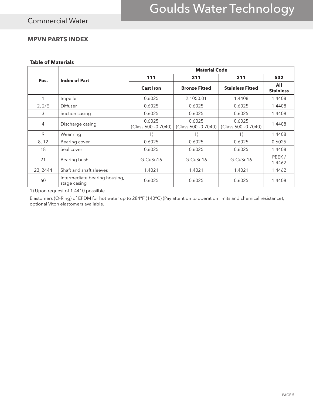### **MPVN PARTS INDEX**

### **Table of Materials**

|          |                                               |                                | <b>Material Code</b>          |                               |                         |
|----------|-----------------------------------------------|--------------------------------|-------------------------------|-------------------------------|-------------------------|
| Pos.     | <b>Index of Part</b>                          | 111                            | 211                           | 311                           | 532                     |
|          |                                               | <b>Cast Iron</b>               | <b>Bronze Fitted</b>          | <b>Stainless Fitted</b>       | All<br><b>Stainless</b> |
| 1        | Impeller                                      | 0.6025                         | 2.1050.01                     | 1.4408                        | 1.4408                  |
| 2, 2/E   | Diffuser                                      | 0.6025                         | 0.6025                        | 0.6025                        | 1.4408                  |
| 3        | Suction casing                                | 0.6025                         | 0.6025                        | 0.6025                        | 1.4408                  |
| 4        | Discharge casing                              | 0.6025<br>(Class 600 - 0.7040) | 0.6025<br>(Class 600 -0.7040) | 0.6025<br>(Class 600 -0.7040) | 1.4408                  |
| 9        | Wear ring                                     | 1)                             | 1)                            | 1)                            | 1.4408                  |
| 8, 12    | Bearing cover                                 | 0.6025                         | 0.6025                        | 0.6025                        | 0.6025                  |
| 18       | Seal cover                                    | 0.6025                         | 0.6025                        | 0.6025                        | 1.4408                  |
| 21       | Bearing bush                                  | G-CuSn16                       | G-CuSn16                      | G-CuSn16                      | PEEK/<br>1.4462         |
| 23, 2444 | Shaft and shaft sleeves                       | 1.4021                         | 1.4021                        | 1.4021                        | 1.4462                  |
| 60       | Intermediate bearing housing,<br>stage casing | 0.6025                         | 0.6025                        | 0.6025                        | 1.4408                  |

1) Upon request of 1.4410 possilble

Elastomers (O-Ring) of EPDM for hot water up to 284°F (140°C) (Pay attention to operation limits and chemical resistance), optional Viton elastomers available.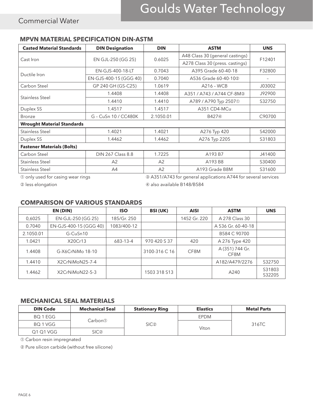# **MPVN MATERIAL SPECIFICATION DIN-ASTM**

| <b>Casted Material Standards</b>  | <b>DIN Designation</b> | <b>DIN</b>                     | <b>ASTM</b>                     | <b>UNS</b> |
|-----------------------------------|------------------------|--------------------------------|---------------------------------|------------|
| Cast Iron                         | EN GJL-250 (GG 25)     | 0.6025                         | A48 Class 30 (general castings) | F12401     |
|                                   |                        |                                | A278 Class 30 (press. castings) |            |
| Ductile Iron                      | EN-GJS-400-18-LT       | 0.7043                         | A395 Grade 60-40-18             | F32800     |
|                                   | EN-GJS-400-15 (GGG 40) | 0.7040                         | A536 Grade 60-40-102            |            |
| Carbon Steel                      | GP 240 GH (GS-C25)     | 1.0619                         | A216 - WCB                      | J03002     |
| Stainless Steel                   | 1.4408                 | 1.4408                         | A351 / A743 / A744 CF-8M3       | J92900     |
|                                   | 1.4410                 | 1.4410                         | A789 / A790 Typ 25071           | S32750     |
| Duplex SS                         | 1.4517                 | 1.4517                         | A351 CD4-MCu                    |            |
| <b>Bronze</b>                     | G - CuSn 10 / CC480K   | 2.1050.01<br>B427 <sup>4</sup> |                                 | C90700     |
| <b>Wrought Material Standards</b> |                        |                                |                                 |            |
| Stainless Steel                   | 1.4021                 | 1.4021                         | A276 Typ 420                    | S42000     |
| Duplex SS                         | 1.4462                 | 1.4462                         | A276 Typ 2205                   | S31803     |
| <b>Fastener Materials (Bolts)</b> |                        |                                |                                 |            |
| Carbon Steel                      | DIN 267 Class 8.8      | 1.7225                         | A193 B7                         | J41400     |
| Stainless Steel                   | A2                     | A2                             | A193 B8                         | S30400     |
| Stainless Steel                   | A4                     | A2                             | A193 Grade B8M                  | S31600     |

➀ only used for casing wear rings ➂ A351/A743 for general applications A744 for several services

➁ less elongation ➃ also available B148/B584

# **COMPARISON OF VARIOUS STANDARDS**

|           | EN (DIN)               | <b>ISO</b>  | <b>BSI (UK)</b> | <b>AISI</b>  | <b>ASTM</b>             | <b>UNS</b>       |
|-----------|------------------------|-------------|-----------------|--------------|-------------------------|------------------|
| 0,6025    | EN-GJL-250 (GG 25)     | 185/Gr. 250 |                 | 1452 Gr. 220 | A 278 Class 30          |                  |
| 0.7040    | EN-GJS-400-15 (GGG 40) | 1083/400-12 |                 |              | A 536 Gr. 60-40-18      |                  |
| 2.1050.01 | G-CuSn10               |             |                 |              | B584 C 90700            |                  |
| 1.0421    | X20Cr13                | 683-13-4    | 970 420 S 37    | 420          | A 276 Type 420          |                  |
| 1.4408    | G-X6CrNiMo 18-10       |             | 3100-316 C 16   | CF8M         | A (351) 744 Gr.<br>CF8M |                  |
| 1.4410    | X2CrNiMoN25-7-4        |             |                 |              | A182/A479/2276          | S32750           |
| 1.4462    | X2CrNiMoN22-5-3        |             | 1503 318 S13    |              | A240                    | S31803<br>S32205 |

### **MECHANICAL SEAL MATERIALS**

| <b>DIN Code</b> | <b>Mechanical Seal</b> | <b>Stationary Ring</b> | <b>Elastics</b> | <b>Metal Parts</b> |  |
|-----------------|------------------------|------------------------|-----------------|--------------------|--|
| BQ 1 EGG        |                        |                        | <b>EPDM</b>     |                    |  |
| BQ 1 VGG        | Carbon①                | SIC <sup>2</sup>       | Viton           | 316TC              |  |
| Q1 Q1 VGG       | SIC②                   |                        |                 |                    |  |

➀ Carbon resin impregnated

➁ Pure silicon carbide (without free silicone)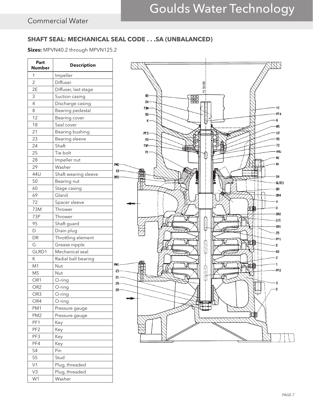# **SHAFT SEAL: MECHANICAL SEAL CODE . . .SA (UNBALANCED)**

**Sizes:** MPVN40.2 through MPVN125.2

| Part<br><b>Number</b>      | <b>Description</b>   |                                 |
|----------------------------|----------------------|---------------------------------|
| 1                          | Impeller             |                                 |
| $\overline{2}$             | Diffuser             |                                 |
| 2E                         | Diffuser, last stage | 51193<br>F                      |
| 3                          | Suction casing       | 95<br>器                         |
| 4                          | Discharge casing     | $24 -$                          |
| 8                          | Bearing pedestal     | $-11$<br>73M<br>PF <sub>4</sub> |
| 12                         | Bearing cover        | 50<br>6<br>K                    |
| 18                         | Seal cover           | M5                              |
| 21                         | Bearing bushing      | 12<br>PF3-                      |
| 23                         | Bearing sleeve       | <b>S5</b><br>V3                 |
| 24                         | Shaft                | 72<br>73P                       |
| 25                         | Tie bolt             | 44U<br>V1                       |
| 28                         | Impeller nut         | N1                              |
| 29                         | Washer               | Wi<br>PM <sub>2</sub>           |
| 44U                        | Shaft wearing sleeve | 19<br>再<br>\$4<br>OR3           |
| 50                         | Bearing nut          | GLRD1                           |
| 60                         | Stage casing         | DR                              |
| 69                         | Gland                | OR4                             |
| 72                         | Spacer sleeve        |                                 |
| 73M                        | Thrower              | D                               |
| 73P                        | Thrower              | <b>OR2</b>                      |
| 95                         | Shaft guard          | 2/E<br>OR1                      |
| $\mathsf D$                | Drain plug           | 25                              |
| DR                         | Throttling element   | PF1                             |
| G                          | Grease nipple        | H.<br>D                         |
| GLRD1                      | Mechanical seal      | 60                              |
| К                          | Radial ball bearing  | S.                              |
| M1                         | <b>Nut</b>           | PM1<br>П                        |
| M <sub>5</sub>             | Nut                  | PF <sub>2</sub><br>23           |
| OR1                        | O-ring               | U<br>21<br>29                   |
| OR <sub>2</sub>            | O-ring               | 28                              |
| OR <sub>3</sub>            | O-ring               | $\bigoplus$                     |
| OR4                        | O-ring               |                                 |
| PM1                        | Pressure gauge       |                                 |
| PM <sub>2</sub>            | Pressure gauge       | 田                               |
| PF1                        | Key                  |                                 |
| PF <sub>2</sub>            | Key                  |                                 |
| PF3                        | Key                  |                                 |
| PF4                        | Key                  |                                 |
| $\ensuremath{\mathsf{S4}}$ | Pin                  |                                 |
| $\mathsf{S}5$              | Stud                 |                                 |
| V1                         | Plug, threaded       |                                 |
| V3                         | Plug, threaded       |                                 |
| W1                         | Washer               |                                 |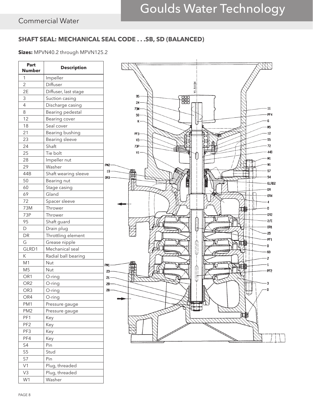# **SHAFT SEAL: MECHANICAL SEAL CODE . . .SB, SD (BALANCED)**

**Sizes:** MPVN40.2 through MPVN125.2



W<sub>1</sub> Washer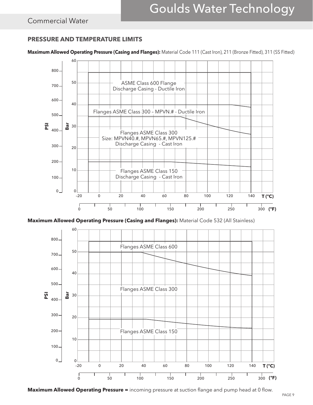# Commercial Water

# **PRESSURE AND TEMPERATURE LIMITS**

**Maximum Allowed Operating Pressure (Casing and Flanges):** Material Code 111 (Cast Iron), 211 (Bronze Fitted), 311 (SS Fitted)



**Maximum Allowed Operating Pressure (Casing and Flanges):** Material Code 532 (All Stainless)



**Maximum Allowed Operating Pressure =** incoming pressure at suction flange and pump head at 0 flow.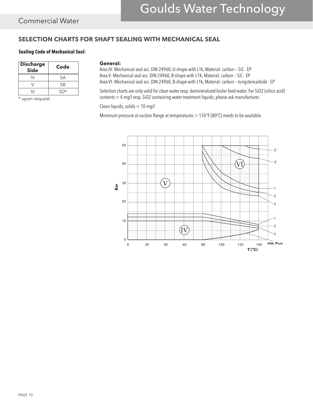# Goulds Water Technology

# **SELECTION CHARTS FOR SHAFT SEALING WITH MECHANICAL SEAL**

### **Sealing Code of Mechanical Seal:**

| <b>Discharge</b><br><b>Side</b> | Code |
|---------------------------------|------|
|                                 | SА   |
|                                 | SΒ   |
|                                 | SD*  |

\* upon request

#### **General:**

Area IV: Mechanical seal acc. DIN 24960, U-shape with L1k, Material: carbon – SiC - EP Area V: Mechanical seal acc. DIN 24960, B-shape with L1K, Material: carbon – SiC - EP Area VI: Mechanical seal acc. DIN 24960, B-shape with L1k, Material: carbon – tungstencarbide - EP

Selection charts are only valid for clean water resp. demineralized boiler feed water. For SiO2 (silicic acid) contents > 4 mg/l resp. SiO2 containing water treatment liquids, please ask manufacturer.

Clean liquids, solids < 10 mg/l

Minimum pressure at suction flange at temperatures > 176°F (80°C) needs to be available.

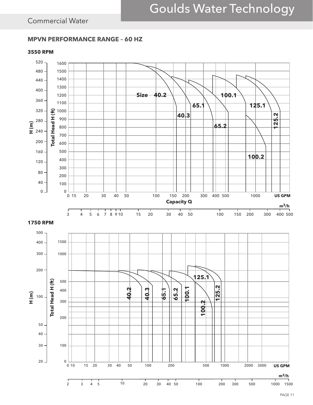# Commercial Water

### **MPVN PERFORMANCE RANGE – 60 HZ**

### **3550 RPM**

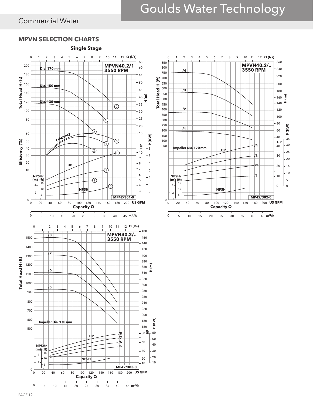# Goulds Water Technology

**US GPM**

  $-30$  P (KW)

**P (KW) H (m)**

x.

**HP**

 

# Commercial Water

# **MPVN SELECTION CHARTS**

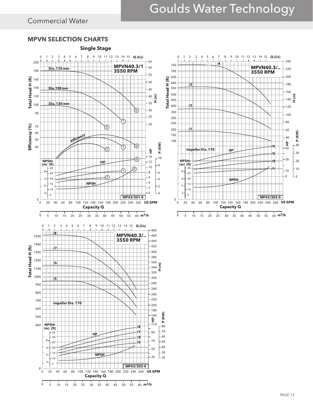# Goulds Water Technology

**/4**

# Commercial Water

# **MPVN SELECTION CHARTS**



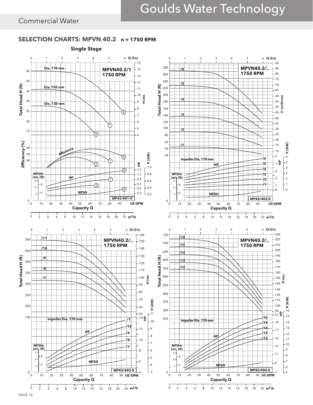$L_0$   $-2$  

**P (KW)**

 

 

 L<sub>5</sub>

 

**P (KW)**

**H (m)**

**H (m)**

# SELECTION CHARTS: MPVN 40.2 n = 1750 RPM **Single Stage**



PAGE 14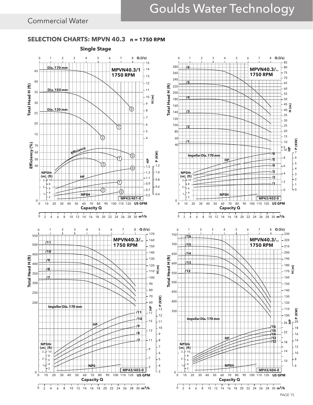# Goulds Water Technology

# Commercial Water

# **SELECTION CHARTS: MPVN 40.3 n = 1750 RPM Single Stage**

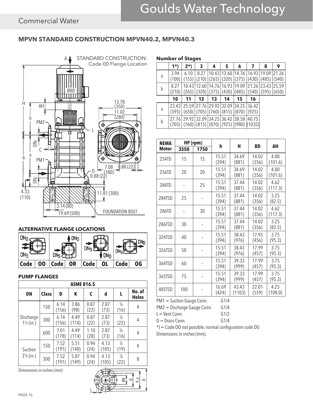# **MPVN STANDARD CONSTRUCTION MPVN40.2, MPVN40.3**



# **ALTERNATIVE FLANGE LOCATIONS**



### **PUMP FLANGES**

| <b>ASME B16.5</b>                 |              |               |               |              |               |                       |                        |  |  |  |  |
|-----------------------------------|--------------|---------------|---------------|--------------|---------------|-----------------------|------------------------|--|--|--|--|
| <b>DN</b>                         | <b>Class</b> | D             | К             | C            | d             | L                     | No. of<br><b>Holes</b> |  |  |  |  |
| Discharge<br>$1\frac{1}{2}$ (in.) | 150          | 6.14<br>(156) | 3.86<br>(98)  | 0.87<br>(22) | 2.87<br>(73)  | $\frac{5}{8}$<br>(16) | 4                      |  |  |  |  |
|                                   | 300          | 6.14<br>(156) | 4.49<br>(114) | 0.87<br>(22) | 2.87<br>(73)  | $\frac{7}{8}$<br>(22) | 4                      |  |  |  |  |
|                                   | 600          | 7.01<br>(178) | 4.49<br>(114) | 1.10<br>(28) | 2.87<br>(73)  | $\frac{5}{8}$<br>(16) | 4                      |  |  |  |  |
| Suction<br>$2\frac{1}{2}$ (in.)   | 150          | 7.52<br>(191) | 5.51<br>(140) | 0.94<br>(24) | 4.13<br>(105) | $\frac{3}{4}$<br>(19) | 4                      |  |  |  |  |
|                                   | 300          | 7.52<br>(191) | 5.87<br>(149) | 0.94<br>(24) | 4.13<br>(105) | $\frac{7}{8}$<br>(22) | 8                      |  |  |  |  |

Dimensions in inches (mm)



|   | <b>Number of Stages</b> |                |                                                      |                                        |                       |                                                   |                 |                      |                |
|---|-------------------------|----------------|------------------------------------------------------|----------------------------------------|-----------------------|---------------------------------------------------|-----------------|----------------------|----------------|
|   | 1*)                     | 2*)            | 3                                                    | 4                                      | 5                     | 6                                                 |                 | 8                    | 9              |
| a | 3.94<br>(100)           | 6.10           | 8.27                                                 |                                        | 10.43   12.60   14.76 | $(155)$ (210) (265) (320) (375) (430) (485) (540) | 16.93           | 19.09                | 21.26          |
| b | 8.27<br>(210)           | 10.43<br>(265) | (320)                                                | 12.60   14.76   16.93<br>$(375)$ (430) |                       | 19.09<br>(485)                                    | (540)           | 21.26 23.43<br>(595) | 25.59<br>(650) |
|   | 10                      | 11             | 12                                                   | 13                                     | 14                    | 15                                                | 16              |                      |                |
| a | 23.43<br>(595)          |                | 25.59 27.76 29.92 32.09<br>$(650)$ (705) (760) (815) |                                        |                       | 34.25<br>(870)                                    | 36.42 <br>(925) |                      |                |
| b | (705)                   | 29.92          | 32.09<br>$(760)$ (815) (870) (925) (980)             |                                        | 34.25 36.42 38.58     |                                                   | 40.75<br>(1035) |                      |                |

| <b>NEMA</b> | HP (rpm) |      |                |                 |                |                 |
|-------------|----------|------|----------------|-----------------|----------------|-----------------|
| Motor       | 3550     | 1750 | h              | н               | <b>BD</b>      | AH              |
| 254TD       | 15       | 15   | 15.51<br>(394) | 34.69<br>(881)  | 14.02<br>(356) | 4.00<br>(101.6) |
| 256TD       | 20       | 20   | 15.51<br>(394) | 34.69<br>(881)  | 14.02<br>(356) | 4.00<br>(101.6) |
| 284TD       |          | 25   | 15.51<br>(394) | 37.44<br>(881)  | 14.02<br>(356) | 4.62<br>(117.3) |
| 284TSD      | 25       |      | 15.51<br>(394) | 37.44<br>(881)  | 14.02<br>(356) | 3.25<br>(82.5)  |
| 286TD       |          | 30   | 15.51<br>(394) | 37.44<br>(881)  | 14.02<br>(356) | 4.62<br>(117.3) |
| 286TSD      | 30       |      | 15.51<br>(394) | 37.44<br>(881)  | 14.02<br>(356) | 3.25<br>(82.5)  |
| 324TSD      | 40       |      | 15.51<br>(394) | 38.43<br>(976)  | 17.95<br>(456) | 3.75<br>(95.3)  |
| 326TSD      | 50       |      | 15.51<br>(394) | 38.43<br>(976)  | 17.99<br>(457) | 3.75<br>(95.3)  |
| 364TSD      | 60       |      | 15.51<br>(394) | 39.33<br>(999)  | 17.99<br>(457) | 3.75<br>(95.3)  |
| 365TSD      | 75       |      | 15.51<br>(394) | 39.33<br>(999)  | 17.99<br>(457) | 3.75<br>(95.3)  |
| 405TSD      | 100      |      | 16.69<br>(424) | 43.43<br>(1103) | 22.01<br>(559) | 4.25<br>(108.0) |

PM1 = Suction Gauge Conn. G1/4

PM2 = Discharge Gauge Conn. G1/4

 $L =$  Vent Conn. G1/2

 $D = \text{Drain Conn.}$  G1/4

\*) = Code OO not possible, normal configuration code OG Dimensions in inches (mm).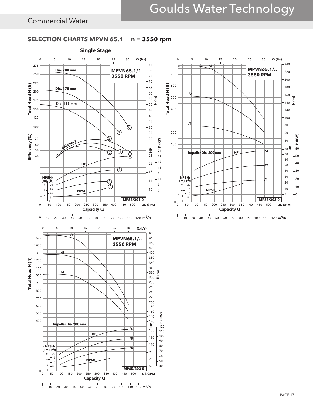# **SELECTION CHARTS MPVN 65.1 n = 3550 rpm**



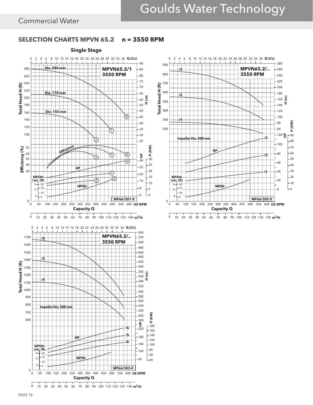# **SELECTION CHARTS MPVN 65.2 n = 3550 RPM**



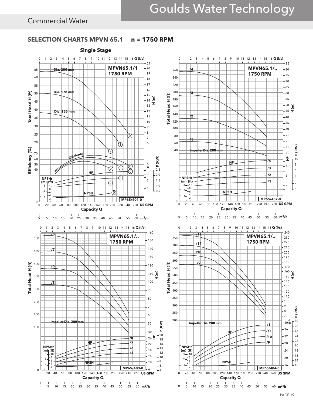### **SELECTION CHARTS MPVN 65.1 n = 1750 RPM**

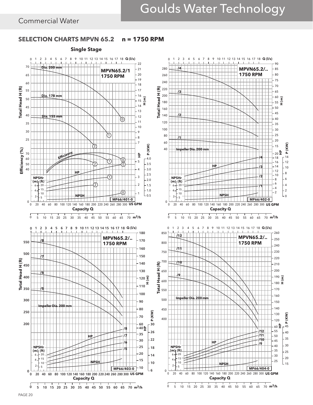# **SELECTION CHARTS MPVN 65.2 n = 1750 RPM**

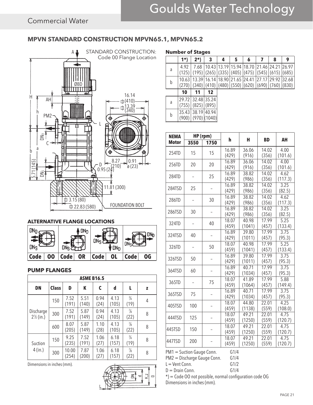# **MPVN STANDARD CONSTRUCTION MPVN65.1, MPVN65.2**



### **ALTERNATIVE FLANGE LOCATIONS**



### **PUMP FLANGES**

| <b>ASME B16.5</b>                 |              |                |               |              |               |                       |   |  |  |  |  |
|-----------------------------------|--------------|----------------|---------------|--------------|---------------|-----------------------|---|--|--|--|--|
| <b>DN</b>                         | <b>Class</b> | D              | К             | C            | d             | L                     | z |  |  |  |  |
| Discharge<br>$2\frac{1}{2}$ (in.) | 150          | 7.52<br>(191)  | 5.51<br>(140) | 0.94<br>(24) | 4.13<br>(105) | $\frac{3}{4}$<br>(19) | 4 |  |  |  |  |
|                                   | 300          | 7.52<br>(191)  | 5.87<br>(149) | 0.94<br>(24) | 4.13<br>(105) | $\frac{7}{8}$<br>(22) | 8 |  |  |  |  |
|                                   | 600          | 8.07<br>(205)  | 5.87<br>(149) | 1.10<br>(28) | 4.13<br>(105) | $\frac{7}{8}$<br>(22) | 8 |  |  |  |  |
| Suction<br>4(in.)                 | 150          | 9.25<br>(235)  | 7.52<br>(191) | 1.06<br>(27) | 6.18<br>(157) | $\frac{3}{4}$<br>(19) | 8 |  |  |  |  |
|                                   | 300          | 10.00<br>(254) | 7.87<br>(200) | 1.06<br>(27) | 6.18<br>(157) | $\frac{7}{8}$<br>(22) | 8 |  |  |  |  |

Dimensions in inches (mm).

# ΞÎ K,Z ᆔ  $\overline{C}$

| <b>Number of Stages</b> |  |  |
|-------------------------|--|--|
|-------------------------|--|--|

|   | 1*)            | $2*)$          | 3                       | 4 | 5                         | 6                                                     |       | 8                     | 9 |
|---|----------------|----------------|-------------------------|---|---------------------------|-------------------------------------------------------|-------|-----------------------|---|
| a | 4.92<br>(125)  | 7.68<br>(195)  |                         |   | $(265)$ (335) (405) (475) | 10.43   13.19   15.94   18.70   21.46   24.21   26.97 |       | (545)   (615)   (685) |   |
| b | 10.63<br>(270) | 13.39<br>(340) | 16.14                   |   | 18.90 21.65 24.41         | $(410)$ (480) (550) (620) (690) (760) (830)           | 27.17 | 29.92 32.68           |   |
|   | 10             | 11             | 12                      |   |                           |                                                       |       |                       |   |
| a | 29.72<br>(755) | 32.48<br>(825) | 35.24<br>(895)          |   |                           |                                                       |       |                       |   |
| b | 35.43<br>(900) | 38.19          | 40.94<br>$(970)$ (1040) |   |                           |                                                       |       |                       |   |

| <b>NEMA</b>  | HP (rpm) |      |                |                 |                |                   |
|--------------|----------|------|----------------|-----------------|----------------|-------------------|
| <b>Motor</b> | 3550     | 1750 | h              | н               | <b>BD</b>      | AH                |
|              |          |      | 16.89          | 36.06           | 14.02          | 4.00              |
| 254TD        | 15       | 15   | (429)          | (916)           | (356)          | (101.6)           |
| 256TD        | 20       | 20   | 16.89          | 36.06           | 14.02          | 4.00              |
|              |          |      | (429)          | (916)           | (356)          | (101.6)           |
| 284TD        |          | 25   | 16.89          | 38.82           | 14.02          | 4.62              |
|              |          |      | (429)          | (986)           | (356)          | (117.3)           |
| 284TSD       | 25       |      | 16.89          | 38.82           | 14.02          | 3.25              |
|              |          |      | (429)          | (986)           | (356)          | (82.5)            |
| 286TD        |          | 30   | 16.89          | 38.82           | 14.02          | 4.62              |
|              |          |      | (429)          | (986)           | (356)          | (117.3)           |
| 286TSD       | 30       |      | 16.89          | 38.82           | 14.02          | 3.25              |
|              |          |      | (429)          | (986)           | (356)          | (82.5)            |
| 324TD        |          | 40   | 18.07          | 40.98           | 17.99          | 5.25              |
|              |          |      | (459)          | (1041)          | (457)          | (133.4)           |
| 324TSD       | 40       |      | 16.89          | 39.80           | 17.99          | 3.75              |
|              |          |      | (429)          | (1011)          | (457)          | (95.3)            |
| 326TD        |          | 50   | 18.07          | 40.98           | 17.99          | $\overline{5.25}$ |
|              |          |      | (459)          | (1041)          | (457)          | (133.4)           |
| 326TSD       | 50       |      | 16.89          | 39.80           | 17.99          | 3.75              |
|              |          |      | (429)          | (1011)          | (457)          | (95.3)            |
| 364TSD       | 60       |      | 16.89          | 40.71           | 17.99          | 3.75              |
|              |          |      | (429)          | (1034)          | (457)          | (95.3)            |
| 365TD        |          | 75   | 18.07          | 41.89           | 17.99          | 5.88              |
|              |          |      | (459)<br>16.89 | (1064)          | (457)<br>17.99 | (149.4)<br>3.75   |
| 365TSD       | 75       |      |                | 40.71           |                |                   |
|              |          |      | (429)          | (1034)<br>44.80 | (457)          | (95.3)<br>4.25    |
| 405TSD       | 100      |      | 18.07<br>(459) | (1138)          | 22.01<br>(559) |                   |
|              |          |      | 18.07          | 49.21           | 22.01          | (108.0)<br>4.75   |
| 444TSD       | 125      |      | (459)          | (1250)          | (559)          | (120.7)           |
|              |          |      | 18.07          | 49.21           | 22.01          | 4.75              |
| 445TSD       | 150      |      | (459)          | (1250)          | (559)          | (120.7)           |
|              |          |      | 18.07          | 49.21           | 22.01          | 4.75              |
| 447TSD       | 200      |      | (459)          | (1250)          | (559)          | (120.7)           |
|              |          |      |                |                 |                |                   |

PM1 = Suction Gauge Conn. G1/4<br>PM2 = Discharge Gauge Conn. G1/4

PM2 = Discharge Gauge Conn. G1/4<br>L = Vent Conn. G1/2  $L =$ Vent Con

$$
\mathsf{nn}.
$$

$$
D = \text{Drain Conn.} \qquad \qquad \text{G1/4}
$$

\*) = Code OO not possible, normal configuration code OG Dimensions in inches (mm).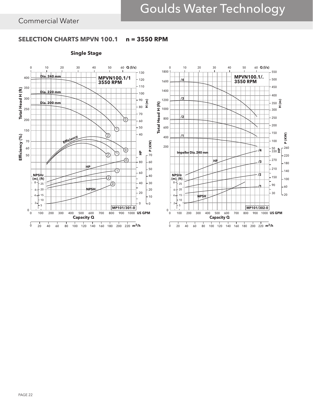# **SELECTION CHARTS MPVN 100.1 n = 3550 RPM**

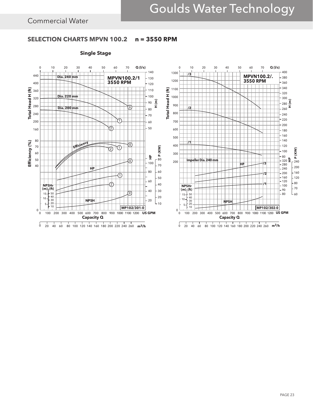# **SELECTION CHARTS MPVN 100.2 n = 3550 RPM**

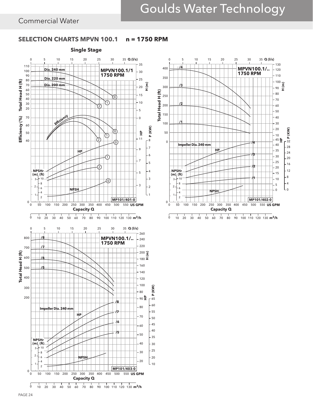# **SELECTION CHARTS MPVN 100.1 n = 1750 RPM**



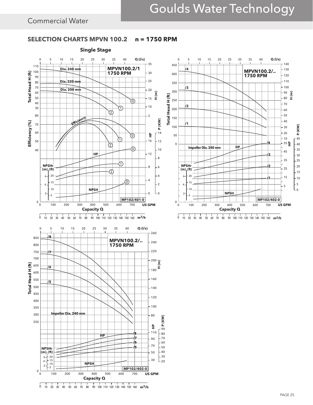# **SELECTION CHARTS MPVN 100.2 n = 1750 RPM**



0 10 20 30 40 50 60 70 80 90 100 110 120 130 140 150 160 m<sup>3</sup>/h





<sup>0</sup> 10 20 30 40 50 60 70 80 90 100 110 120 130 140 150 160 m<sup>3</sup>/h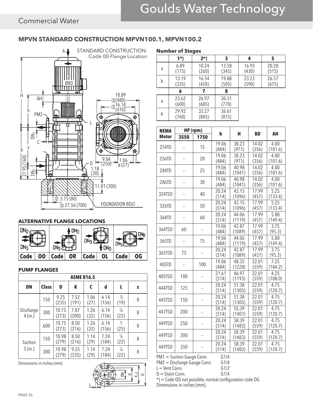# **MPVN STANDARD CONSTRUCTION MPVN100.1, MPVN100.2**



### **ALTERNATIVE FLANGE LOCATIONS**



### **PUMP FLANGES**

| <b>ASME B16.5</b>    |              |                |               |              |               |                       |   |  |
|----------------------|--------------|----------------|---------------|--------------|---------------|-----------------------|---|--|
| <b>DN</b>            | <b>Class</b> | D              | К             | C            | d             | L                     | z |  |
| Discharge<br>4(in.)  | 150          | 9.25<br>(235)  | 7.52<br>(191) | 1.06<br>(27) | 6.14<br>(156) | $\frac{3}{4}$<br>(19) | 8 |  |
|                      | 300          | 10.75<br>(273) | 7.87<br>(200) | 1.26<br>(32) | 6.14<br>(156) | $\frac{7}{8}$<br>(22) | 8 |  |
|                      | 600          | 10.75<br>(273) | 8.50<br>(216) | 1.26<br>(32) | 6.14<br>(156) | (25)                  | 8 |  |
| Suction<br>$5$ (in.) | 150          | 10.98<br>(279) | 8.50<br>(216) | 1.14<br>(29) | 7.24<br>(184) | $\frac{7}{8}$<br>(22) | 8 |  |
|                      | 300          | 10.98<br>(279) | 9.25<br>(235) | 1.14<br>(29) | 7.24<br>(184) | $\frac{7}{8}$<br>(22) | 8 |  |

Dimensions in inches (mm)



| <b>Number of Stages</b> |                |                |                |                |                |  |  |  |  |  |
|-------------------------|----------------|----------------|----------------|----------------|----------------|--|--|--|--|--|
|                         | 1*)            | $2^{*}$        | 3              | 4              | 5              |  |  |  |  |  |
| a                       | 6.89<br>(175)  | 10.24<br>(260) | 13.58<br>(345) | 16.93<br>(430) | 20.28<br>(515) |  |  |  |  |  |
| b                       | 13.19<br>(335) | 16.54<br>(420) | 19.88<br>(505) | 23.23<br>(590) | 26.57<br>(675) |  |  |  |  |  |
|                         | 6              |                | 8              |                |                |  |  |  |  |  |
| a                       | 23.62<br>(600) | 26.97<br>(685) | 30.31<br>(770) |                |                |  |  |  |  |  |
| b                       | 29.92<br>(760) | 33.27<br>(845) | 36.61<br>(815) |                |                |  |  |  |  |  |

| <b>NEMA</b>  | HP (rpm) |      |                    |                 |                |                 |  |
|--------------|----------|------|--------------------|-----------------|----------------|-----------------|--|
| <b>Motor</b> | 3550     | 1750 | h                  | Н               | <b>BD</b>      | AH              |  |
| 254TD        |          | 15   | 19.06              | 38.23           | 14.02          | 4.00            |  |
|              |          |      | (484)              | (971)           | (356)          | (101.6)         |  |
| 256TD        |          | 20   | 19.06              | 38.23           | 14.02          | 4.00            |  |
|              |          |      | (484)              | (971)           | (356)          | (101.6)         |  |
| 284TD        |          | 25   | 19.06              | 40.98           | 14.02          | 4.00            |  |
|              |          |      | (484)              | (1041)          | (356)          | (101.6)         |  |
| 286TD        |          | 30   | 19.06<br>(484)     | 40.98<br>(1041) | 14.02<br>(356) | 4.00<br>(101.6) |  |
|              |          |      | 20.24              | 43.15           | 17.99          | 5.25            |  |
| 324TSD       |          | 40   | (514)              | (1096)          | (457)          | (133.4)         |  |
|              |          |      | 20.24              | 43.15           | 17.99          | 5.25            |  |
| 326TD        |          | 50   | (514)              | (1096)          | (457)          | (133.4)         |  |
|              |          |      | 20.24              | 44.06           | 17.99          | 5.88            |  |
| 364TD        |          | 60   | (514)              | (1119)          | (457)          | (149.4)         |  |
| 364TSD       | 60       |      | 19.06              | 42.87           | 17.99          | 3.75            |  |
|              |          |      | (484)              | (1089)          | (457)          | (95.3)          |  |
| 365TD        |          | 75   | 19.06              | 44.06           | 17.99          | 5.88            |  |
|              |          |      | (484)              | (1119)          | (457)          | (149.4)         |  |
| 365TSD       | 75       |      | $\overline{20.24}$ | 42.87           | 17.99          | 3.75            |  |
|              |          |      | (514)              | (1089)          | (457)          | (95.3)          |  |
| 405TD        |          | 100  | 19.06<br>(484)     | 48.35<br>(1228) | 22.01<br>(559) | 7.25<br>(184.2) |  |
|              |          |      | 21.61              | 46.97           | 22.01          | 4.25            |  |
| 405TSD       | 100      |      | (514)              | (1193)          | (559)          | (108.0)         |  |
|              |          |      | 20.24              | 51.38           | 22.01          | 4.75            |  |
| 444TSD       | 125      |      | (514)              | (1305)          | (559)          | (120.7)         |  |
|              |          |      | 20.24              | 51.38           | 22.01          | 4.75            |  |
| 445TSD       | 150      |      | (514)              | (1305)          | (559)          | (120.7)         |  |
| 447TSD       | 200      |      | 20.24              | 55.39           | 22.01          | 4.75            |  |
|              |          |      | (514)              | (1407)          | (559)          | (120.7)         |  |
| 449TSD       | 250      |      | 20.24              | 58.39           | 22.01          | 4.75            |  |
|              |          |      | (514)              | (1483)          | (559)          | (120.7)         |  |
| 449TSD       | 300      |      | 20.24              | 58.39           | 22.01          | 4.75            |  |
|              |          |      | (514)              | (1483)          | (559)          | (120.7)         |  |
| 449TSD       | 350      |      | 20.24<br>(514)     | 58.39<br>(1483) | 22.01<br>(559) | 4.75<br>(120.7) |  |
|              |          |      |                    |                 |                |                 |  |

PM1 = Suction Gauge Conn. G1/4<br>PM2 = Discharge Gauge Conn. G1/4

PM2 = Discharge Gauge Conn. G1/4<br>L = Vent Conn. G1/2

 $L =$  Vent Conn. G1/2<br>D = Drain Conn. G1/4

 $D = Drain Conn$ .

\*) = Code OO not possible, normal configuration code OG Dimensions in inches (mm).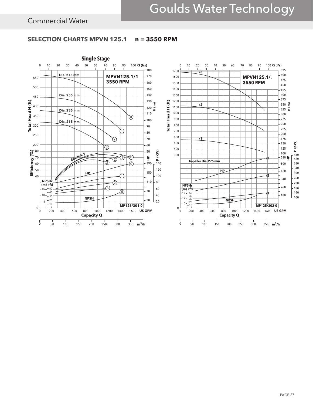# **SELECTION CHARTS MPVN 125.1 n = 3550 RPM**

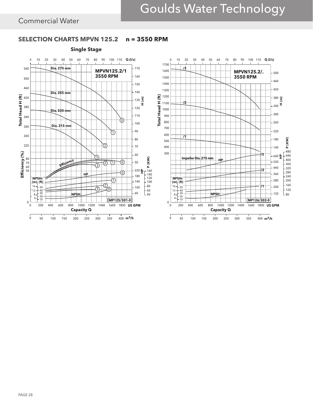# **SELECTION CHARTS MPVN 125.2 n = 3550 RPM**

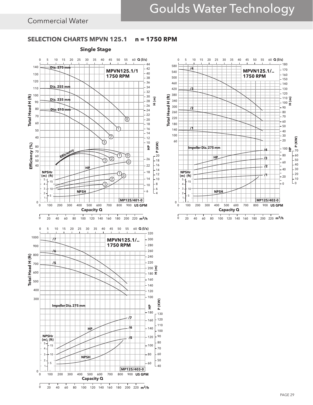# **SELECTION CHARTS MPVN 125.1 n = 1750 RPM**



<sup>0</sup> 20 40 60 80 100 120 140 160 180 200 220 **m<sup>3</sup>/h** 

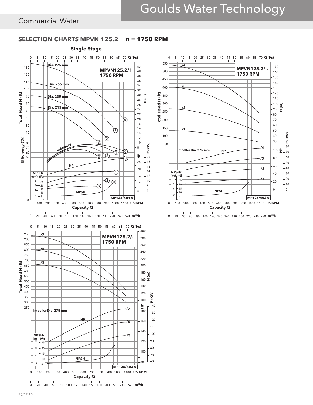# Goulds Water Technology

# Commercial Water

# **SELECTION CHARTS MPVN 125.2 n = 1750 RPM**



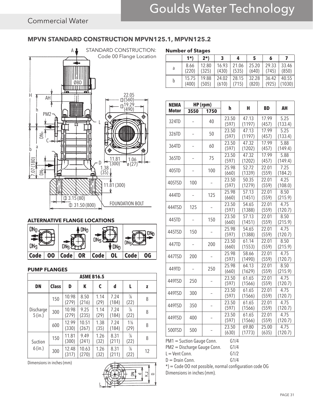# **MPVN STANDARD CONSTRUCTION MPVN125.1, MPVN125.2**



### **ALTERNATIVE FLANGE LOCATIONS**



### **PUMP FLANGES**

| <b>ASME B16.5</b>      |              |                |                |              |               |                        |    |  |  |
|------------------------|--------------|----------------|----------------|--------------|---------------|------------------------|----|--|--|
| <b>DN</b>              | <b>Class</b> | D              | К              | C            | d             | L                      | z  |  |  |
| Discharge<br>$5$ (in.) | 150          | 10.98<br>(279) | 8.50<br>(216)  | 1.14<br>(29) | 7.24<br>(184) | $\frac{7}{8}$<br>(22)  | 8  |  |  |
|                        | 300          | 10.98<br>(279) | 9.25<br>(235)  | 1.14<br>(29) | 7.24<br>(184) | $\frac{7}{8}$<br>(22)  | 8  |  |  |
|                        | 600          | 12.99<br>(330) | 10.51<br>(267) | 1.38<br>(35) | 7.24<br>(184) | $1\frac{1}{8}$<br>(29) | 8  |  |  |
| Suction<br>$6$ (in.)   | 150          | 11.81<br>(300) | 9.49<br>(241)  | 1.26<br>(32) | 8.31<br>(211) | $\frac{7}{8}$<br>(22)  | 8  |  |  |
|                        | 300          | 12.48<br>(317) | 10.63<br>(270) | 1.26<br>(32) | 8.31<br>(211) | $\frac{7}{8}$<br>(22)  | 12 |  |  |

Dimensions in inches (mm)



| <b>Number of Stages</b> |       |       |       |       |       |       |        |  |  |
|-------------------------|-------|-------|-------|-------|-------|-------|--------|--|--|
|                         | $1*$  | 2*)   | 3     |       | 5     | 6     |        |  |  |
| a                       | 8.66  | 12.80 | 16.93 | 21.06 | 25.20 | 29.33 | 33.46  |  |  |
|                         | (220) | (325) | (430) | (535) | (640) | (745) | (850)  |  |  |
| b                       | 15.75 | 19.88 | 24.02 | 28.15 | 32.28 | 36.42 | 40.55  |  |  |
|                         | (400) | (505) | (610) | (715) | (820) | (925) | (1030) |  |  |

| <b>NEMA</b>  |      | $HP$ (rpm) |                |                 |                |                              |
|--------------|------|------------|----------------|-----------------|----------------|------------------------------|
| <b>Motor</b> | 3550 | 1750       | h              | н               | <b>BD</b>      | AH                           |
| 324TD        |      | 40         | 23.50<br>(597) | 47.13<br>(1197) | 17.99<br>(457) | 5.25<br>(133.4)              |
| 326TD        |      | 50         | 23.50<br>(597) | 47.13<br>(1197) | 17.99<br>(457) | 5.25<br>(133.4)              |
| 364TD        |      | 60         | 23.50<br>(597) | 47.32<br>(1202) | 17.99<br>(457) | 5.88<br>(149.4)              |
| 365TD        |      | 75         | 23.50<br>(597) | 47.32<br>(1202) | 17.99<br>(457) | 5.88<br>(149.4)              |
| 405TD        |      | 100        | 25.98<br>(660) | 52.72<br>(1339) | 22.01<br>(559) | $\overline{7.25}$<br>(184.2) |
| 405TSD       | 100  |            | 23.50<br>(597) | 50.35<br>(1279) | 22.01<br>(559) | 4.25<br>(108.0)              |
| 444TD        |      | 125        | 25.98<br>(660) | 57.13<br>(1451) | 22.01<br>(559) | 8.50<br>(215.9)              |
| 444TSD       | 125  |            | 23.50<br>(597) | 54.65<br>(1388) | 22.01<br>(559) | 4.75<br>(120.7)              |
| 445TD        |      | 150        | 23.50<br>(660) | 57.13<br>(1451) | 22.01<br>(559) | 8.50<br>(215.9)              |
| 445TSD       | 150  |            | 25.98<br>(597) | 54.65<br>(1388) | 22.01<br>(559) | 4.75<br>(120.7)              |
| 447TD        |      | 200        | 23.50<br>(660) | 61.14<br>(1553) | 22.01<br>(559) | 8.50<br>(215.9)              |
| 447TSD       | 200  |            | 25.98<br>(597) | 58.66<br>(1490) | 22.01<br>(559) | 4.75<br>(120.7)              |
| 449TD        |      | 250        | 25.98<br>(660) | 64.13<br>(1629) | 22.01<br>(559) | 8.50<br>(215.9)              |
| 449TSD       | 250  |            | 23.50<br>(597) | 61.65<br>(1566) | 22.01<br>(559) | 4.75<br>(120.7)              |
| 449TSD       | 300  |            | 23.50<br>(597) | 61.65<br>(1566) | 22.01<br>(559) | 4.75<br>(120.7)              |
| 449TSD       | 350  |            | 23.50<br>(597) | 61.65<br>(1566) | 22.01<br>(559) | 4.75<br>(120.7)              |
| 449TSD       | 400  |            | 23.50<br>(597) | 61.65<br>(1566) | 22.01<br>(559) | 4.75<br>(120.7)              |
| 500TSD       | 500  |            | 23.50<br>(630) | 69.80<br>(1773) | 25.00<br>(635) | 4.75<br>(120.7)              |

PM1 = Suction Gauge Conn. G1/4

PM2 = Discharge Gauge Conn. G1/4

 $L =$  Vent Conn. G1/2

 $D = Drain Conn.$  G1/4

\*) = Code OO not possible, normal configuration code OG Dimensions in inches (mm).